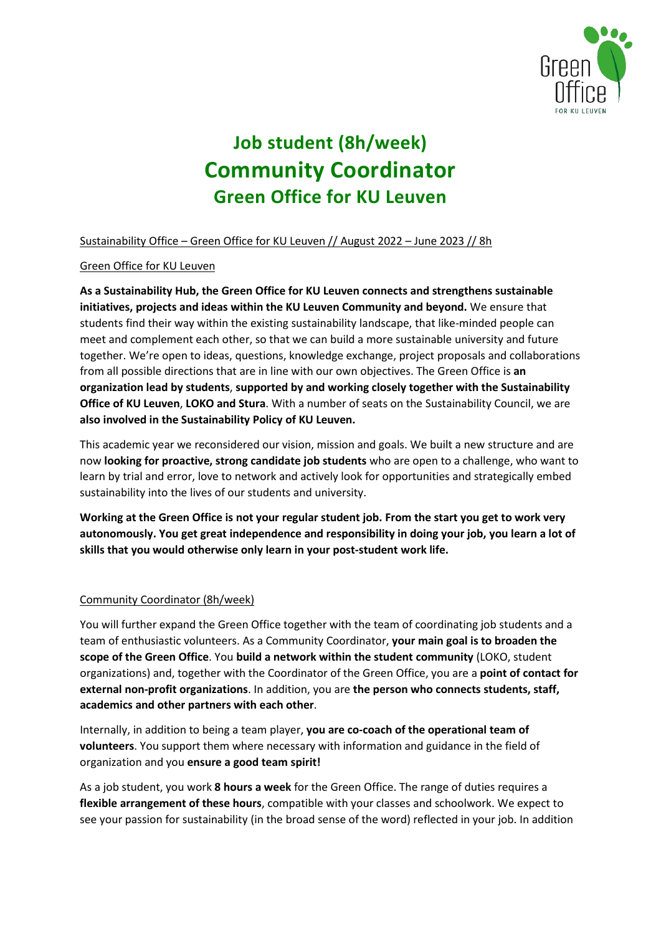

# **Job student (8h/week) Community Coordinator Green Office for KU Leuven**

Sustainability Office – Green Office for KU Leuven // August 2022 – June 2023 // 8h

# Green Office for KU Leuven

**As a Sustainability Hub, the Green Office for KU Leuven connects and strengthens sustainable initiatives, projects and ideas within the KU Leuven Community and beyond.** We ensure that students find their way within the existing sustainability landscape, that like-minded people can meet and complement each other, so that we can build a more sustainable university and future together. We're open to ideas, questions, knowledge exchange, project proposals and collaborations from all possible directions that are in line with our own objectives. The Green Office is **an organization lead by students**, **supported by and working closely together with the Sustainability Office of KU Leuven**, **LOKO and Stura**. With a number of seats on the Sustainability Council, we are **also involved in the Sustainability Policy of KU Leuven.**

This academic year we reconsidered our vision, mission and goals. We built a new structure and are now **looking for proactive, strong candidate job students** who are open to a challenge, who want to learn by trial and error, love to network and actively look for opportunities and strategically embed sustainability into the lives of our students and university.

**Working at the Green Office is not your regular student job. From the start you get to work very autonomously. You get great independence and responsibility in doing your job, you learn a lot of skills that you would otherwise only learn in your post-student work life.**

## Community Coordinator (8h/week)

You will further expand the Green Office together with the team of coordinating job students and a team of enthusiastic volunteers. As a Community Coordinator, **your main goal is to broaden the scope of the Green Office**. You **build a network within the student community** (LOKO, student organizations) and, together with the Coordinator of the Green Office, you are a **point of contact for external non-profit organizations**. In addition, you are **the person who connects students, staff, academics and other partners with each other**.

Internally, in addition to being a team player, **you are co-coach of the operational team of volunteers**. You support them where necessary with information and guidance in the field of organization and you **ensure a good team spirit!**

As a job student, you work **8 hours a week** for the Green Office. The range of duties requires a **flexible arrangement of these hours**, compatible with your classes and schoolwork. We expect to see your passion for sustainability (in the broad sense of the word) reflected in your job. In addition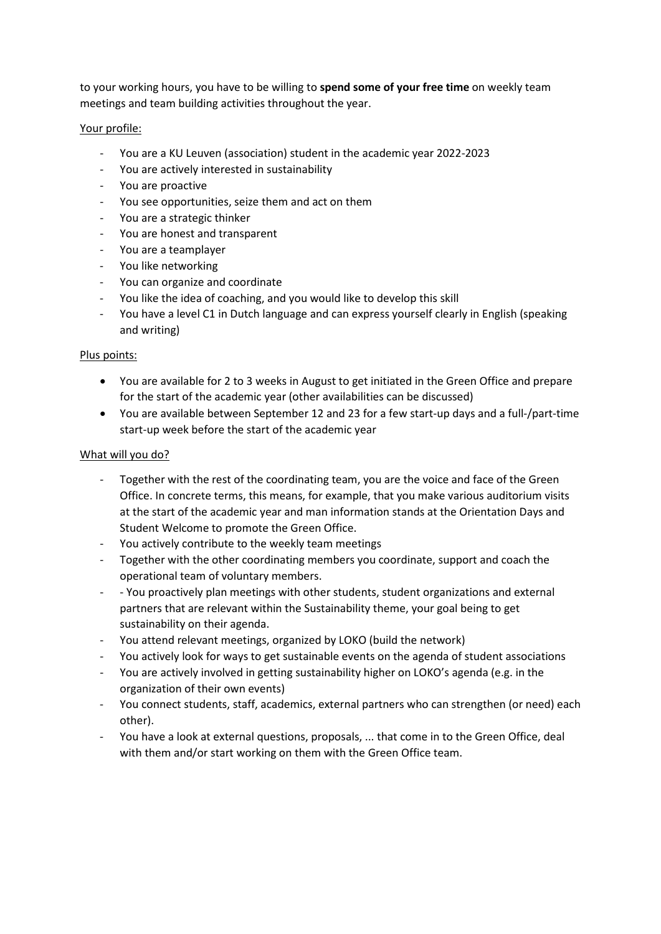to your working hours, you have to be willing to **spend some of your free time** on weekly team meetings and team building activities throughout the year.

#### Your profile:

- You are a KU Leuven (association) student in the academic year 2022-2023
- You are actively interested in sustainability
- You are proactive
- You see opportunities, seize them and act on them
- You are a strategic thinker
- You are honest and transparent
- You are a teamplayer
- You like networking
- You can organize and coordinate
- You like the idea of coaching, and you would like to develop this skill
- You have a level C1 in Dutch language and can express yourself clearly in English (speaking and writing)

#### Plus points:

- You are available for 2 to 3 weeks in August to get initiated in the Green Office and prepare for the start of the academic year (other availabilities can be discussed)
- You are available between September 12 and 23 for a few start-up days and a full-/part-time start-up week before the start of the academic year

#### What will you do?

- Together with the rest of the coordinating team, you are the voice and face of the Green Office. In concrete terms, this means, for example, that you make various auditorium visits at the start of the academic year and man information stands at the Orientation Days and Student Welcome to promote the Green Office.
- You actively contribute to the weekly team meetings
- Together with the other coordinating members you coordinate, support and coach the operational team of voluntary members.
- - You proactively plan meetings with other students, student organizations and external partners that are relevant within the Sustainability theme, your goal being to get sustainability on their agenda.
- You attend relevant meetings, organized by LOKO (build the network)
- You actively look for ways to get sustainable events on the agenda of student associations
- You are actively involved in getting sustainability higher on LOKO's agenda (e.g. in the organization of their own events)
- You connect students, staff, academics, external partners who can strengthen (or need) each other).
- You have a look at external questions, proposals, ... that come in to the Green Office, deal with them and/or start working on them with the Green Office team.